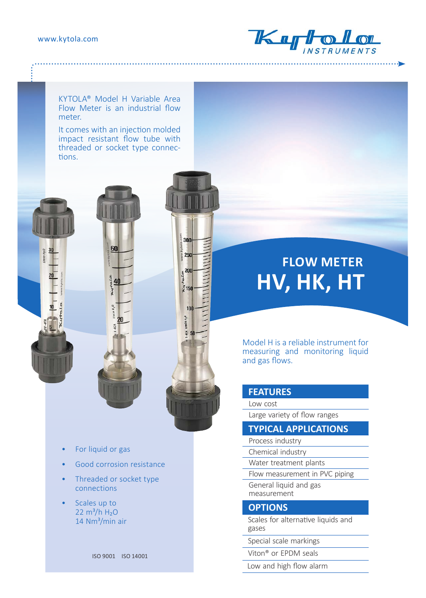#### www.kytola.com



KYTOLA® Model H Variable Area Flow Meter is an industrial flow meter.

It comes with an injection molded impact resistant flow tube with threaded or socket type connections.

60

20



# **FLOW METER HV, HK, HT**

Model H is a reliable instrument for measuring and monitoring liquid and gas flows.

### **FEATURES**

Low cost Large variety of flow ranges

## **TYPICAL APPLICATIONS**

- Process industry
- Chemical industry
- Water treatment plants
- Flow measurement in PVC piping General liquid and gas
- measurement

#### **OPTIONS**

- Scales for alternative liquids and gases
- Special scale markings
- Viton® or EPDM seals
- Low and high flow alarm
- For liquid or gas
- Good corrosion resistance
- Threaded or socket type connections
- Scales up to  $22 \text{ m}^3/h H_2O$ 14 Nm<sup>3</sup>/min air

ISO 9001 ISO 14001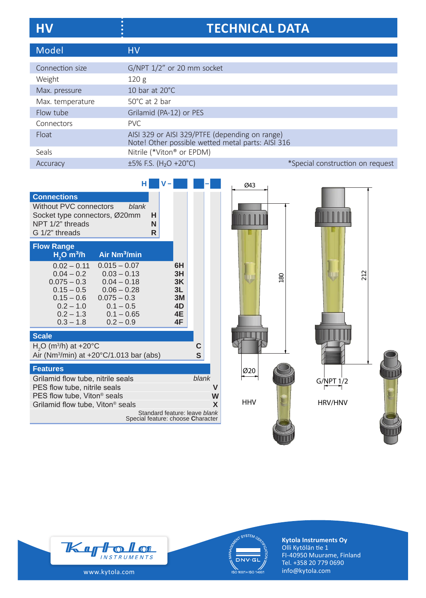| <b>HV</b>        | <b>TECHNICAL DATA</b>                                                                               |                                  |
|------------------|-----------------------------------------------------------------------------------------------------|----------------------------------|
| Model            | <b>HV</b>                                                                                           |                                  |
| Connection size  | G/NPT 1/2" or 20 mm socket                                                                          |                                  |
| Weight           | 120g                                                                                                |                                  |
| Max. pressure    | 10 bar at 20°C                                                                                      |                                  |
| Max. temperature | 50°C at 2 bar                                                                                       |                                  |
| Flow tube        | Grilamid (PA-12) or PES                                                                             |                                  |
| Connectors       | PVC.                                                                                                |                                  |
| Float            | AISI 329 or AISI 329/PTFE (depending on range)<br>Note! Other possible wetted metal parts: AISI 316 |                                  |
| Seals            | Nitrile (*Viton® or EPDM)                                                                           |                                  |
| Accuracy         | $\pm 5\%$ F.S. (H <sub>2</sub> O +20°C)                                                             | *Special construction on request |

|                                                                                                                                                                                                                                                                 | н |                                                                    |                                              |        |        |
|-----------------------------------------------------------------------------------------------------------------------------------------------------------------------------------------------------------------------------------------------------------------|---|--------------------------------------------------------------------|----------------------------------------------|--------|--------|
| <b>Connections</b><br>Without PVC connectors<br>blank<br>Socket type connectors, Ø20mm<br>NPT 1/2" threads<br>G 1/2" threads                                                                                                                                    | R | н<br>N                                                             |                                              |        |        |
| <b>Flow Range</b><br>Air Nm <sup>3</sup> /min<br>$H2O$ m <sup>3</sup> /h                                                                                                                                                                                        |   |                                                                    |                                              |        |        |
| $0.02 - 0.11$<br>$0.015 - 0.07$<br>$0.04 - 0.2$<br>$0.03 - 0.13$<br>$0.075 - 0.3$<br>$0.04 - 0.18$<br>$0.15 - 0.5$<br>$0.06 - 0.28$<br>$0.15 - 0.6$<br>$0.075 - 0.3$<br>$0.1 - 0.5$<br>$0.2 - 1.0$<br>$0.2 - 1.3$<br>$0.1 - 0.65$<br>$0.3 - 1.8$<br>$0.2 - 0.9$ |   |                                                                    | 6H<br>3H<br>3K<br>3L<br>3M<br>4D<br>4E<br>4F |        |        |
| <b>Scale</b>                                                                                                                                                                                                                                                    |   |                                                                    |                                              |        |        |
| $H2O$ (m <sup>3</sup> /h) at +20 °C<br>Air (Nm $3$ /min) at +20 $^{\circ}$ C/1.013 bar (abs)                                                                                                                                                                    |   |                                                                    |                                              | C<br>S |        |
| <b>Features</b>                                                                                                                                                                                                                                                 |   |                                                                    |                                              |        |        |
| Grilamid flow tube, nitrile seals<br>PES flow tube, nitrile seals<br>PES flow tube, Viton <sup>®</sup> seals<br>Grilamid flow tube, Viton <sup>®</sup> seals                                                                                                    |   |                                                                    |                                              | blank  | W<br>X |
|                                                                                                                                                                                                                                                                 |   | Standard feature: leave blank<br>Special feature: choose Character |                                              |        |        |









**Kytola Instruments Oy** Olli Kytölän tie 1 FI-40950 Muurame, Finland Tel. +358 20 779 0690 info@kytola.com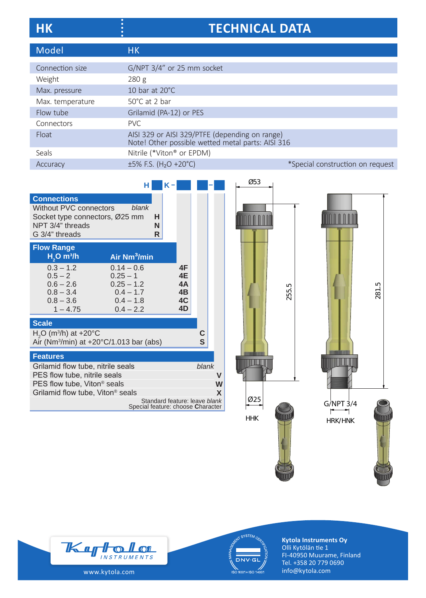| НK | <b>TECHNICAL DATA</b> |
|----|-----------------------|
|    |                       |

| Model            | <b>HK</b>                                                                                           |                                  |
|------------------|-----------------------------------------------------------------------------------------------------|----------------------------------|
|                  |                                                                                                     |                                  |
| Connection size  | G/NPT 3/4" or 25 mm socket                                                                          |                                  |
| Weight           | 280 g                                                                                               |                                  |
| Max. pressure    | 10 bar at 20°C                                                                                      |                                  |
| Max. temperature | $50^{\circ}$ C at 2 bar                                                                             |                                  |
| Flow tube        | Grilamid (PA-12) or PES                                                                             |                                  |
| Connectors       | PVC                                                                                                 |                                  |
| Float            | AISI 329 or AISI 329/PTFE (depending on range)<br>Note! Other possible wetted metal parts: AISI 316 |                                  |
| Seals            | Nitrile (*Viton® or EPDM)                                                                           |                                  |
| Accuracy         | $\pm 5\%$ F.S. (H <sub>2</sub> O +20°C)                                                             | *Special construction on request |

|                                                                                                                             | н                                                                                       |             | κ. |                                  |        |   |
|-----------------------------------------------------------------------------------------------------------------------------|-----------------------------------------------------------------------------------------|-------------|----|----------------------------------|--------|---|
| <b>Connections</b><br><b>Without PVC connectors</b><br>Socket type connectors, Ø25 mm<br>NPT 3/4" threads<br>G 3/4" threads | blank                                                                                   | н<br>N<br>R |    |                                  |        |   |
| <b>Flow Range</b><br>$H2O$ m $3/h$                                                                                          | Air Nm <sup>3</sup> /min                                                                |             |    |                                  |        |   |
| $0.3 - 1.2$<br>$0.5 - 2$<br>$0.6 - 2.6$<br>$0.8 - 3.4$<br>$0.8 - 3.6$<br>$1 - 4.75$                                         | $0.14 - 0.6$<br>$0.25 - 1$<br>$0.25 - 1.2$<br>$0.4 - 1.7$<br>$0.4 - 1.8$<br>$0.4 - 2.2$ |             |    | 4F<br>4E<br>4A<br>4B<br>4C<br>4D |        |   |
| <b>Scale</b>                                                                                                                |                                                                                         |             |    |                                  |        |   |
| $H2O$ (m <sup>3</sup> /h) at +20°C<br>Air (Nm <sup>3</sup> /min) at $+20^{\circ}C/1.013$ bar (abs)                          |                                                                                         |             |    |                                  | С<br>S |   |
| <b>Features</b>                                                                                                             |                                                                                         |             |    |                                  |        |   |
| Grilamid flow tube, nitrile seals<br>PES flow tube, nitrile seals<br>PES flow tube, Viton <sup>®</sup> seals                |                                                                                         |             |    | blank                            | V<br>W |   |
| Grilamid flow tube, Viton <sup>®</sup> seals                                                                                |                                                                                         |             |    | Standard feature: leave blank    |        | X |
|                                                                                                                             | Special feature: choose Character                                                       |             |    |                                  |        |   |









**Kytola Instruments Oy** Olli Kytölän tie 1 FI-40950 Muurame, Finland Tel. +358 20 779 0690 info@kytola.com